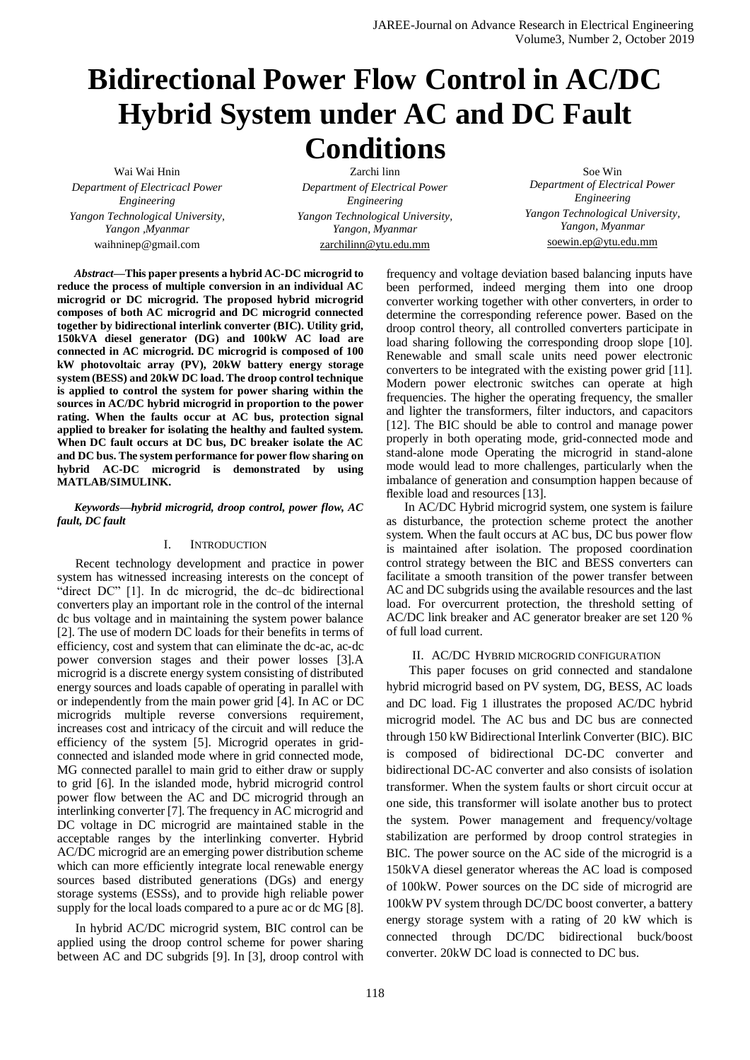# **Bidirectional Power Flow Control in AC/DC Hybrid System under AC and DC Fault Conditions**

Wai Wai Hnin *Department of Electricacl Power Engineering Yangon Technological University, Yangon ,Myanmar* waihninep@gmail.com

Zarchi linn *Department of Electrical Power Engineering Yangon Technological University, Yangon, Myanmar* [zarchilinn@ytu.edu.mm](mailto:zarchilinn@ytu.edu.mm)

Soe Win *Department of Electrical Power Engineering Yangon Technological University, Yangon, Myanmar* [soewin.ep@ytu.edu.mm](mailto:soewin.ep@ytu.edu.mm)

*Abstract***—This paper presents a hybrid AC-DC microgrid to reduce the process of multiple conversion in an individual AC microgrid or DC microgrid. The proposed hybrid microgrid composes of both AC microgrid and DC microgrid connected together by bidirectional interlink converter (BIC). Utility grid, 150kVA diesel generator (DG) and 100kW AC load are connected in AC microgrid. DC microgrid is composed of 100 kW photovoltaic array (PV), 20kW battery energy storage system (BESS) and 20kW DC load. The droop control technique is applied to control the system for power sharing within the sources in AC/DC hybrid microgrid in proportion to the power rating. When the faults occur at AC bus, protection signal applied to breaker for isolating the healthy and faulted system. When DC fault occurs at DC bus, DC breaker isolate the AC and DC bus. The system performance for power flow sharing on hybrid AC-DC microgrid is demonstrated by using MATLAB/SIMULINK.**

## *Keywords—hybrid microgrid, droop control, power flow, AC fault, DC fault*

# I. INTRODUCTION

Recent technology development and practice in power system has witnessed increasing interests on the concept of "direct DC" [1]. In dc microgrid, the dc–dc bidirectional converters play an important role in the control of the internal dc bus voltage and in maintaining the system power balance [2]. The use of modern DC loads for their benefits in terms of efficiency, cost and system that can eliminate the dc-ac, ac-dc power conversion stages and their power losses [3].A microgrid is a discrete energy system consisting of distributed energy sources and loads capable of operating in parallel with or independently from the main power grid [4]. In AC or DC microgrids multiple reverse conversions requirement, increases cost and intricacy of the circuit and will reduce the efficiency of the system [5]. Microgrid operates in gridconnected and islanded mode where in grid connected mode, MG connected parallel to main grid to either draw or supply to grid [6]. In the islanded mode, hybrid microgrid control power flow between the AC and DC microgrid through an interlinking converter [7]. The frequency in AC microgrid and DC voltage in DC microgrid are maintained stable in the acceptable ranges by the interlinking converter. Hybrid AC/DC microgrid are an emerging power distribution scheme which can more efficiently integrate local renewable energy sources based distributed generations (DGs) and energy storage systems (ESSs), and to provide high reliable power supply for the local loads compared to a pure ac or dc MG [8].

In hybrid AC/DC microgrid system, BIC control can be applied using the droop control scheme for power sharing between AC and DC subgrids [9]. In [3], droop control with

frequency and voltage deviation based balancing inputs have been performed, indeed merging them into one droop converter working together with other converters, in order to determine the corresponding reference power. Based on the droop control theory, all controlled converters participate in load sharing following the corresponding droop slope [10]. Renewable and small scale units need power electronic converters to be integrated with the existing power grid [11]. Modern power electronic switches can operate at high frequencies. The higher the operating frequency, the smaller and lighter the transformers, filter inductors, and capacitors [12]. The BIC should be able to control and manage power properly in both operating mode, grid-connected mode and stand-alone mode Operating the microgrid in stand-alone mode would lead to more challenges, particularly when the imbalance of generation and consumption happen because of flexible load and resources [13].

In AC/DC Hybrid microgrid system, one system is failure as disturbance, the protection scheme protect the another system. When the fault occurs at AC bus, DC bus power flow is maintained after isolation. The proposed coordination control strategy between the BIC and BESS converters can facilitate a smooth transition of the power transfer between AC and DC subgrids using the available resources and the last load. For overcurrent protection, the threshold setting of AC/DC link breaker and AC generator breaker are set 120 % of full load current.

# II. AC/DC HYBRID MICROGRID CONFIGURATION

This paper focuses on grid connected and standalone hybrid microgrid based on PV system, DG, BESS, AC loads and DC load. Fig 1 illustrates the proposed AC/DC hybrid microgrid model. The AC bus and DC bus are connected through 150 kW Bidirectional Interlink Converter (BIC). BIC is composed of bidirectional DC-DC converter and bidirectional DC-AC converter and also consists of isolation transformer. When the system faults or short circuit occur at one side, this transformer will isolate another bus to protect the system. Power management and frequency/voltage stabilization are performed by droop control strategies in BIC. The power source on the AC side of the microgrid is a 150kVA diesel generator whereas the AC load is composed of 100kW. Power sources on the DC side of microgrid are 100kW PV system through DC/DC boost converter, a battery energy storage system with a rating of 20 kW which is connected through DC/DC bidirectional buck/boost converter. 20kW DC load is connected to DC bus.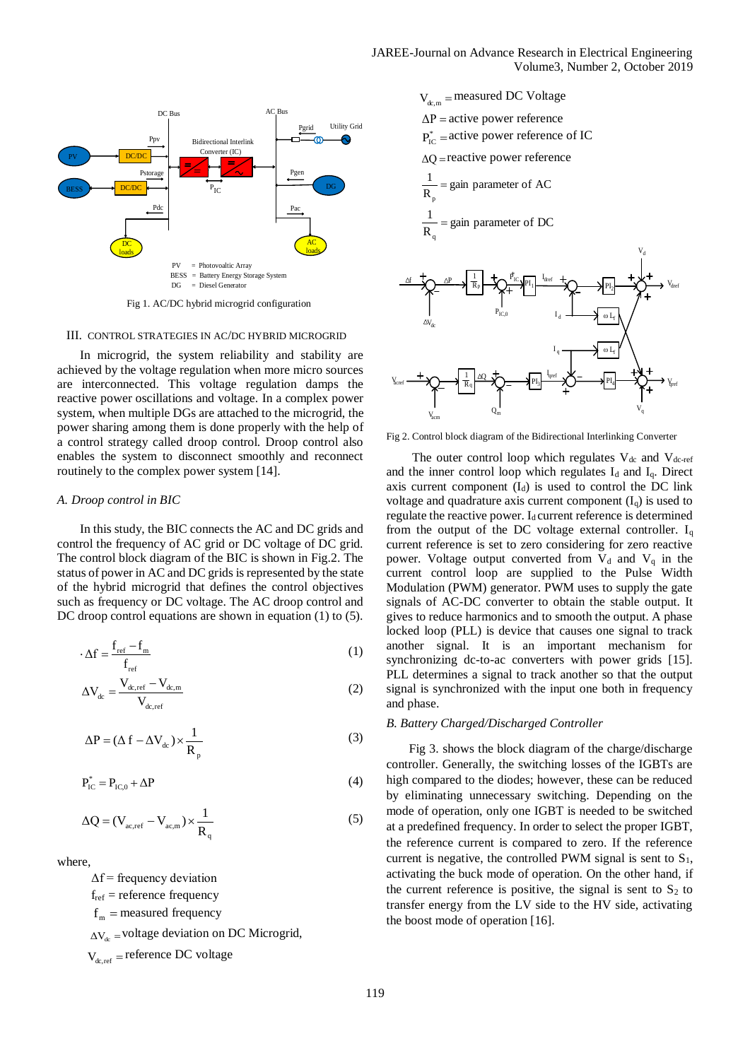

Fig 1. AC/DC hybrid microgrid configuration

## III. CONTROL STRATEGIES IN AC/DC HYBRID MICROGRID

In microgrid, the system reliability and stability are achieved by the voltage regulation when more micro sources are interconnected. This voltage regulation damps the reactive power oscillations and voltage. In a complex power system, when multiple DGs are attached to the microgrid, the power sharing among them is done properly with the help of a control strategy called droop control. Droop control also enables the system to disconnect smoothly and reconnect routinely to the complex power system [14].

## *A. Droop control in BIC*

In this study, the BIC connects the AC and DC grids and control the frequency of AC grid or DC voltage of DC grid. The control block diagram of the BIC is shown in Fig.2. The status of power in AC and DC grids is represented by the state of the hybrid microgrid that defines the control objectives such as frequency or DC voltage. The AC droop control and DC droop control equations are shown in equation (1) to (5).

$$
\Delta f = \frac{f_{ref} - f_m}{f_{ref}} \tag{1}
$$

$$
\Delta V_{dc} = \frac{V_{dc,ref} - V_{dc,m}}{V_{dc,ref}}
$$
 (2)

$$
\Delta P = (\Delta f - \Delta V_{dc}) \times \frac{1}{R_{p}}
$$
\n(3)

$$
P_{IC}^* = P_{IC,0} + \Delta P \tag{4}
$$

$$
\Delta Q = (V_{ac,ref} - V_{ac,m}) \times \frac{1}{R_q}
$$
 (5)

where,

 $\Delta f$  = frequency deviation

 $f_{ref}$  = reference frequency

 $f<sub>m</sub>$  = measured frequency

 $\Delta V_{dc}$  = voltage deviation on DC Microgrid,

 $V_{dc,ref}$  = reference DC voltage

$$
V_{dc,m} = measured DC Voltage
$$
\n
$$
\Delta P = active power reference
$$
\n
$$
P_{IC}^* = active power reference of IC
$$
\n
$$
\Delta Q = reactive power reference
$$
\n
$$
\frac{1}{R_p} = gain parameter of AC
$$
\n
$$
\frac{1}{R_q} = gain parameter of DC
$$
\n
$$
\frac{d}{R_q} + \sum_{P_{IC,0}} \frac{P}{R_p} + \sum_{P_{IC,0}} \frac{P_{IC}^* P_{I_1}}{I_d} + \sum_{P_{I_2}} \frac{P_{I_2}}{I_d} + \sum_{Q_{I_1}} \frac{P_{Q_{I_2}}}{I_d} + \sum_{Q_{I_2}} \frac{P_{I_3}}{I_d} + \sum_{Q_{I_3}} \frac{P_{I_4}}{I_d} + \sum_{Q_{I_4}} \frac{P_{I_4}}{I_d} + \sum_{Q_{I_5}} \frac{P_{I_6}}{I_d} + \sum_{Q_{I_6}} \frac{P_{I_7}}{I_d} + \sum_{Q_{I_7}} \frac{P_{I_8}}{I_d} + \sum_{Q_{I_8}} \frac{P_{I_9}}{I_q} + \sum_{Q_{I_1}} \frac{P_{I_1}}{I_d} + \sum_{Q_{I_2}} \frac{P_{I_4}}{I_d} + \sum_{Q_{I_3}} \frac{P_{I_4}}{I_d} + \sum_{Q_{I_4}} \frac{P_{I_5}}{I_d} + \sum_{Q_{I_6}} \frac{P_{I_7}}{I_d} + \sum_{Q_{I_7}} \frac{P_{I_8}}{I_d} + \sum_{Q_{I_8}} \frac{P_{I_9}}{I_q} + \sum_{Q_{I_1}} \frac{P_{I_1}}{I_d} + \sum_{Q_{I_2}} \frac{P_{I_4}}{I_d} + \sum_{Q_{I_3}} \frac{P_{I_4}}{I_d} + \sum_{Q_{I_1}} \frac{P_{I_2}}{I_d} + \sum_{Q_{I_2}} \frac{P_{I_4}}{I_d} + \sum_{Q_{I_3}} \frac{P_{I_4}}{I_d} + \sum_{Q_{I_4}} \frac{P_{I_5}}{I_d} + \sum_{Q_{I_6}} \frac{P_{I_7}}{I_d} + \sum_{Q_{I_7}} \frac{P_{I_8}}{I_d} + \sum_{Q_{I_8}} \
$$

Fig 2. Control block diagram of the Bidirectional Interlinking Converter

The outer control loop which regulates  $V_{dc}$  and  $V_{dc-ref}$ and the inner control loop which regulates  $I_d$  and  $I_q$ . Direct axis current component  $(I_d)$  is used to control the DC link voltage and quadrature axis current component  $(I_q)$  is used to regulate the reactive power.  $I_d$  current reference is determined from the output of the DC voltage external controller.  $I_q$ current reference is set to zero considering for zero reactive power. Voltage output converted from  $V_d$  and  $V_q$  in the current control loop are supplied to the Pulse Width Modulation (PWM) generator. PWM uses to supply the gate signals of AC-DC converter to obtain the stable output. It gives to reduce harmonics and to smooth the output. A phase locked loop (PLL) is device that causes one signal to track another signal. It is an important mechanism for synchronizing dc-to-ac converters with power grids [15]. PLL determines a signal to track another so that the output signal is synchronized with the input one both in frequency and phase.

## *B. Battery Charged/Discharged Controller*

Fig 3. shows the block diagram of the charge/discharge controller. Generally, the switching losses of the IGBTs are high compared to the diodes; however, these can be reduced by eliminating unnecessary switching. Depending on the mode of operation, only one IGBT is needed to be switched at a predefined frequency. In order to select the proper IGBT, the reference current is compared to zero. If the reference current is negative, the controlled PWM signal is sent to  $S_1$ , activating the buck mode of operation. On the other hand, if the current reference is positive, the signal is sent to  $S_2$  to transfer energy from the LV side to the HV side, activating the boost mode of operation [16].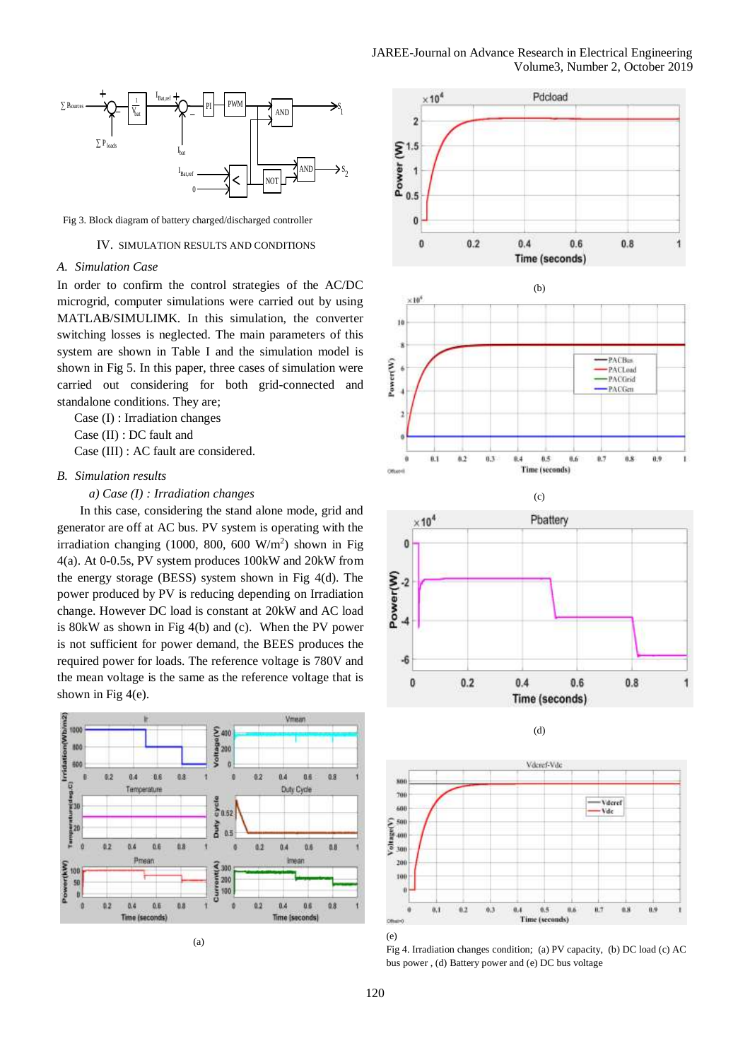

Fig 3. Block diagram of battery charged/discharged controller

# IV. SIMULATION RESULTS AND CONDITIONS

## *A. Simulation Case*

In order to confirm the control strategies of the AC/DC microgrid, computer simulations were carried out by using MATLAB/SIMULIMK. In this simulation, the converter switching losses is neglected. The main parameters of this system are shown in Table I and the simulation model is shown in Fig 5. In this paper, three cases of simulation were carried out considering for both grid-connected and standalone conditions. They are;

Case (I) : Irradiation changes

Case (II) : DC fault and

Case (III) : AC fault are considered.

# *B. Simulation results*

*a) Case (I) : Irradiation changes*

In this case, considering the stand alone mode, grid and generator are off at AC bus. PV system is operating with the irradiation changing  $(1000, 800, 600 \text{ W/m}^2)$  shown in Fig 4(a). At 0-0.5s, PV system produces 100kW and 20kW from the energy storage (BESS) system shown in Fig 4(d). The power produced by PV is reducing depending on Irradiation change. However DC load is constant at 20kW and AC load is 80kW as shown in Fig 4(b) and (c). When the PV power is not sufficient for power demand, the BEES produces the required power for loads. The reference voltage is 780V and the mean voltage is the same as the reference voltage that is shown in Fig 4(e).



(a)



(e)

Fig 4. Irradiation changes condition; (a) PV capacity, (b) DC load (c) AC bus power , (d) Battery power and (e) DC bus voltage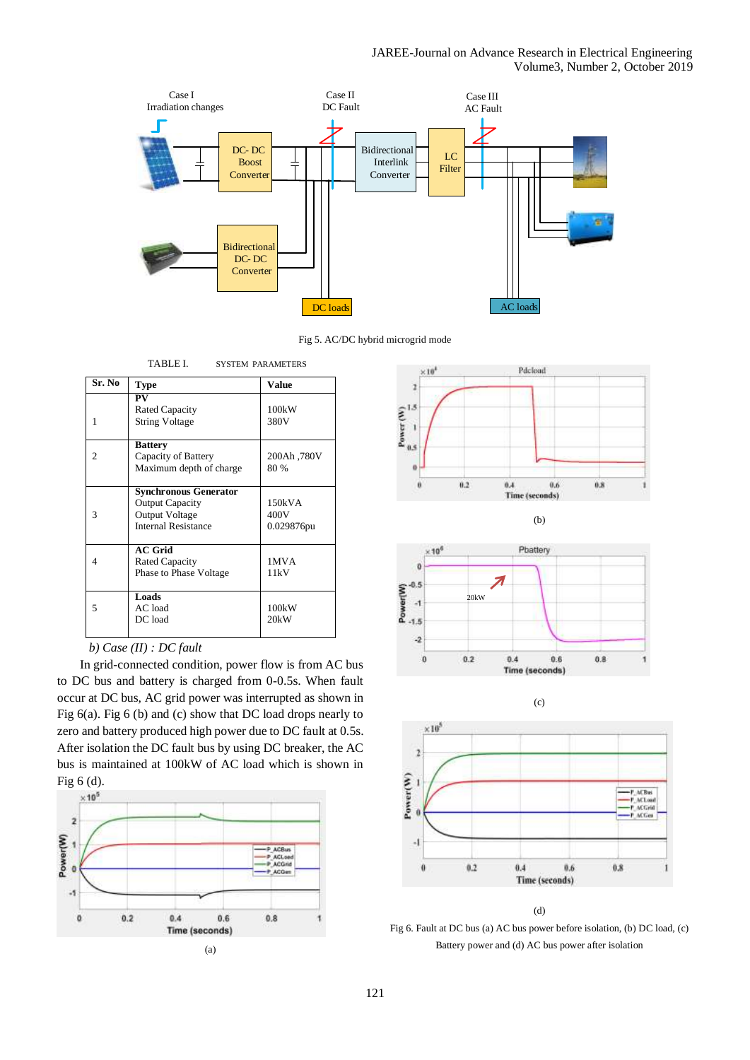



| <b>Bidirectional</b><br>DC-DC<br>Converter<br>TABLE I.<br><b>SYSTEM PARAMETERS</b><br>Value<br><b>Type</b><br>PV<br><b>Rated Capacity</b><br>100kW<br><b>String Voltage</b><br>380V<br><b>Battery</b><br>Capacity of Battery<br>200Ah,780V<br>Maximum depth of charge<br>80 %<br><b>Synchronous Generator</b><br><b>Output Capacity</b><br>150kVA<br>400V<br>Output Voltage<br><b>Internal Resistance</b><br>0.029876pu<br><b>AC Grid</b><br><b>Rated Capacity</b><br>1MVA<br>Phase to Phase Voltage<br>11kV<br>Loads<br>AC load<br>100kW<br>DC load<br>20kW<br>P ACBus<br>P ACLoad<br><b>ACGrid</b><br><b>ACQue</b><br>0.4<br>0.2<br>0.6<br>0.8<br>Time (seconds) | DC loads<br>Fig 5. AC/DC hybrid<br>In grid-connected condition, power flow is from AC bus<br>C bus and battery is charged from 0-0.5s. When fault<br>r at DC bus, AC grid power was interrupted as shown in<br>(a). Fig 6 (b) and (c) show that DC load drops nearly to<br>and battery produced high power due to DC fault at 0.5s.<br>isolation the DC fault bus by using DC breaker, the AC<br>s maintained at 100kW of AC load which is shown in<br>(a) |                           |  | <b>Boost</b><br>Converter |  |
|--------------------------------------------------------------------------------------------------------------------------------------------------------------------------------------------------------------------------------------------------------------------------------------------------------------------------------------------------------------------------------------------------------------------------------------------------------------------------------------------------------------------------------------------------------------------------------------------------------------------------------------------------------------------|------------------------------------------------------------------------------------------------------------------------------------------------------------------------------------------------------------------------------------------------------------------------------------------------------------------------------------------------------------------------------------------------------------------------------------------------------------|---------------------------|--|---------------------------|--|
|                                                                                                                                                                                                                                                                                                                                                                                                                                                                                                                                                                                                                                                                    |                                                                                                                                                                                                                                                                                                                                                                                                                                                            |                           |  |                           |  |
|                                                                                                                                                                                                                                                                                                                                                                                                                                                                                                                                                                                                                                                                    |                                                                                                                                                                                                                                                                                                                                                                                                                                                            | Sr. No                    |  |                           |  |
|                                                                                                                                                                                                                                                                                                                                                                                                                                                                                                                                                                                                                                                                    |                                                                                                                                                                                                                                                                                                                                                                                                                                                            |                           |  |                           |  |
|                                                                                                                                                                                                                                                                                                                                                                                                                                                                                                                                                                                                                                                                    |                                                                                                                                                                                                                                                                                                                                                                                                                                                            |                           |  |                           |  |
|                                                                                                                                                                                                                                                                                                                                                                                                                                                                                                                                                                                                                                                                    |                                                                                                                                                                                                                                                                                                                                                                                                                                                            |                           |  |                           |  |
|                                                                                                                                                                                                                                                                                                                                                                                                                                                                                                                                                                                                                                                                    |                                                                                                                                                                                                                                                                                                                                                                                                                                                            | b) Case $(II)$ : DC fault |  |                           |  |
|                                                                                                                                                                                                                                                                                                                                                                                                                                                                                                                                                                                                                                                                    |                                                                                                                                                                                                                                                                                                                                                                                                                                                            |                           |  |                           |  |
|                                                                                                                                                                                                                                                                                                                                                                                                                                                                                                                                                                                                                                                                    |                                                                                                                                                                                                                                                                                                                                                                                                                                                            |                           |  |                           |  |
|                                                                                                                                                                                                                                                                                                                                                                                                                                                                                                                                                                                                                                                                    |                                                                                                                                                                                                                                                                                                                                                                                                                                                            |                           |  |                           |  |
|                                                                                                                                                                                                                                                                                                                                                                                                                                                                                                                                                                                                                                                                    |                                                                                                                                                                                                                                                                                                                                                                                                                                                            |                           |  |                           |  |
|                                                                                                                                                                                                                                                                                                                                                                                                                                                                                                                                                                                                                                                                    |                                                                                                                                                                                                                                                                                                                                                                                                                                                            |                           |  |                           |  |
|                                                                                                                                                                                                                                                                                                                                                                                                                                                                                                                                                                                                                                                                    |                                                                                                                                                                                                                                                                                                                                                                                                                                                            |                           |  |                           |  |
|                                                                                                                                                                                                                                                                                                                                                                                                                                                                                                                                                                                                                                                                    |                                                                                                                                                                                                                                                                                                                                                                                                                                                            |                           |  |                           |  |
|                                                                                                                                                                                                                                                                                                                                                                                                                                                                                                                                                                                                                                                                    |                                                                                                                                                                                                                                                                                                                                                                                                                                                            |                           |  |                           |  |
|                                                                                                                                                                                                                                                                                                                                                                                                                                                                                                                                                                                                                                                                    |                                                                                                                                                                                                                                                                                                                                                                                                                                                            |                           |  |                           |  |
|                                                                                                                                                                                                                                                                                                                                                                                                                                                                                                                                                                                                                                                                    |                                                                                                                                                                                                                                                                                                                                                                                                                                                            |                           |  |                           |  |

# *b) Case (II) : DC fault*

In grid-connected condition, power flow is from AC bus to DC bus and battery is charged from 0-0.5s. When fault occur at DC bus, AC grid power was interrupted as shown in Fig 6(a). Fig 6 (b) and (c) show that DC load drops nearly to zero and battery produced high power due to DC fault at 0.5s. After isolation the DC fault bus by using DC breaker, the AC bus is maintained at 100kW of AC load which is shown in Fig 6 (d).











(c)

(d)

Fig 6. Fault at DC bus (a) AC bus power before isolation, (b) DC load, (c) Battery power and (d) AC bus power after isolation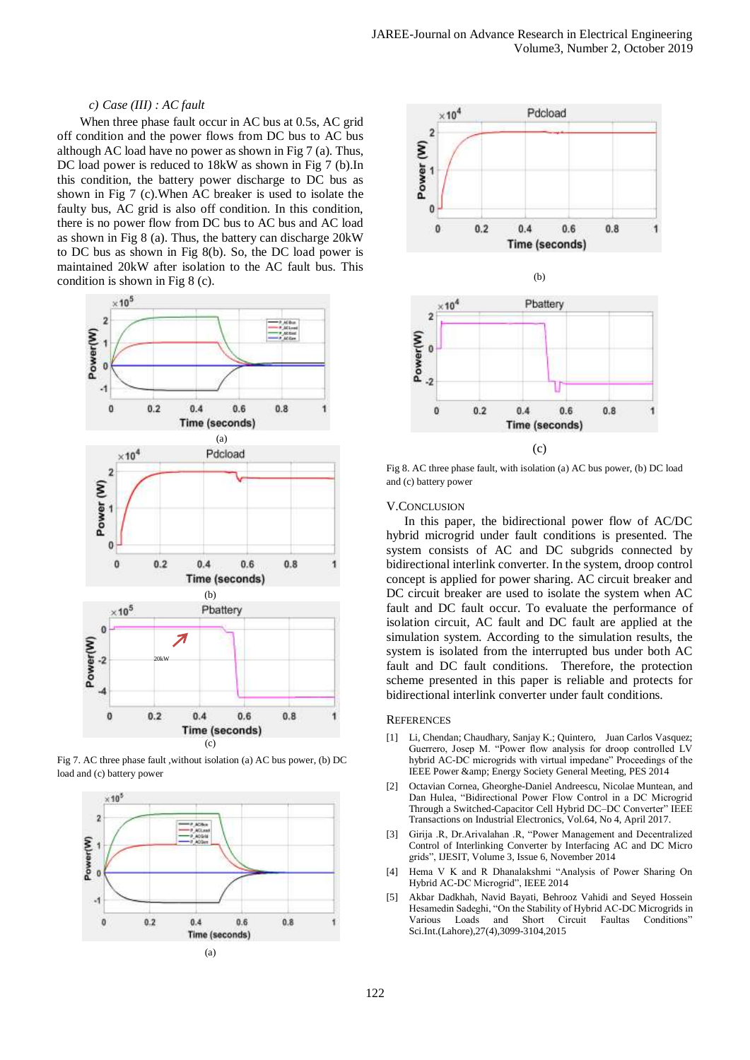# *c) Case (III) : AC fault*

When three phase fault occur in AC bus at 0.5s, AC grid off condition and the power flows from DC bus to AC bus although AC load have no power as shown in Fig 7 (a). Thus, DC load power is reduced to 18kW as shown in Fig 7 (b).In this condition, the battery power discharge to DC bus as shown in Fig 7 (c).When AC breaker is used to isolate the faulty bus, AC grid is also off condition. In this condition, there is no power flow from DC bus to AC bus and AC load as shown in Fig 8 (a). Thus, the battery can discharge 20kW to DC bus as shown in Fig 8(b). So, the DC load power is maintained 20kW after isolation to the AC fault bus. This condition is shown in Fig 8 (c).



Fig 7. AC three phase fault ,without isolation (a) AC bus power, (b) DC load and (c) battery power





Fig 8. AC three phase fault, with isolation (a) AC bus power, (b) DC load and (c) battery power

## V.CONCLUSION

In this paper, the bidirectional power flow of AC/DC hybrid microgrid under fault conditions is presented. The system consists of AC and DC subgrids connected by bidirectional interlink converter. In the system, droop control concept is applied for power sharing. AC circuit breaker and DC circuit breaker are used to isolate the system when AC fault and DC fault occur. To evaluate the performance of isolation circuit, AC fault and DC fault are applied at the simulation system. According to the simulation results, the system is isolated from the interrupted bus under both AC fault and DC fault conditions. Therefore, the protection scheme presented in this paper is reliable and protects for bidirectional interlink converter under fault conditions.

## **REFERENCES**

- [1] Li, Chendan; Chaudhary, Sanjay K.; Quintero, Juan Carlos Vasquez; Guerrero, Josep M. "Power flow analysis for droop controlled LV hybrid AC-DC microgrids with virtual impedane" Proceedings of the IEEE Power & Energy Society General Meeting, PES 2014
- [2] Octavian Cornea, Gheorghe-Daniel Andreescu, Nicolae Muntean, and Dan Hulea, "Bidirectional Power Flow Control in a DC Microgrid Through a Switched-Capacitor Cell Hybrid DC–DC Converter" IEEE Transactions on Industrial Electronics, Vol.64, No 4, April 2017.
- [3] Girija .R, Dr.Arivalahan .R, "Power Management and Decentralized Control of Interlinking Converter by Interfacing AC and DC Micro grids", IJESIT, Volume 3, Issue 6, November 2014
- Hema V K and R Dhanalakshmi "Analysis of Power Sharing On Hybrid AC-DC Microgrid", IEEE 2014
- [5] Akbar Dadkhah, Navid Bayati, Behrooz Vahidi and Seyed Hossein Hesamedin Sadeghi, "On the Stability of Hybrid AC-DC Microgrids in Various Loads and Short Circuit Faultas Conditions" Sci.Int.(Lahore),27(4),3099-3104,2015